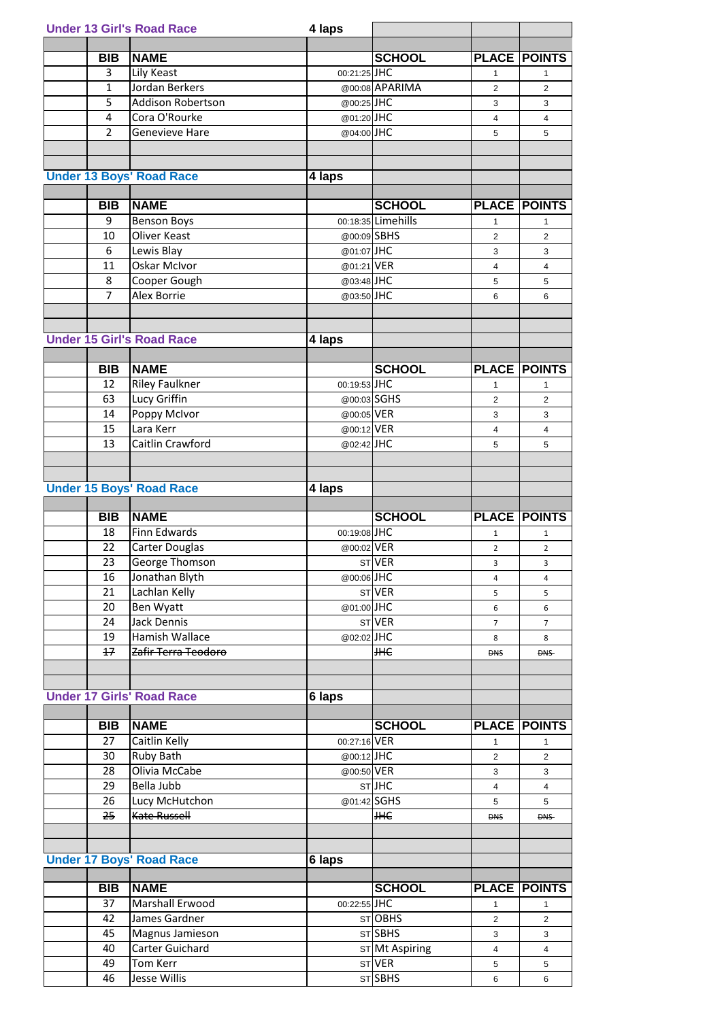|                | <b>Under 13 Girl's Road Race</b> | 4 laps       |                    |                |                     |
|----------------|----------------------------------|--------------|--------------------|----------------|---------------------|
|                |                                  |              |                    |                |                     |
| <b>BIB</b>     | <b>NAME</b>                      |              | <b>SCHOOL</b>      |                | <b>PLACE POINTS</b> |
| 3              | Lily Keast                       | 00:21:25 JHC |                    | $\mathbf{1}$   | 1                   |
| $\mathbf{1}$   | Jordan Berkers                   |              | @00:08 APARIMA     | $\overline{2}$ | $\overline{2}$      |
| 5              | <b>Addison Robertson</b>         | @00:25JHC    |                    | 3              | 3                   |
| 4              | Cora O'Rourke                    | @01:20JHC    |                    | 4              | 4                   |
| $\overline{2}$ | <b>Genevieve Hare</b>            | @04:00JHC    |                    | 5              | 5                   |
|                |                                  |              |                    |                |                     |
|                |                                  |              |                    |                |                     |
|                | <b>Under 13 Boys' Road Race</b>  | 4 laps       |                    |                |                     |
|                |                                  |              |                    |                |                     |
| <b>BIB</b>     | <b>NAME</b>                      |              | <b>SCHOOL</b>      |                | <b>PLACE POINTS</b> |
| 9              | <b>Benson Boys</b>               |              | 00:18:35 Limehills | $\mathbf{1}$   | 1                   |
| 10             | <b>Oliver Keast</b>              | @00:09 SBHS  |                    | $\overline{2}$ | 2                   |
| 6              | Lewis Blay                       | @01:07JHC    |                    | 3              | 3                   |
| 11             | <b>Oskar McIvor</b>              | @01:21 VER   |                    | 4              | 4                   |
| 8              | Cooper Gough                     | @03:48JHC    |                    | 5              | 5                   |
| $\overline{7}$ | <b>Alex Borrie</b>               | @03:50JHC    |                    | 6              | 6                   |
|                |                                  |              |                    |                |                     |
|                |                                  |              |                    |                |                     |
|                | <b>Under 15 Girl's Road Race</b> | 4 laps       |                    |                |                     |
|                |                                  |              |                    |                |                     |
| <b>BIB</b>     | <b>NAME</b>                      |              | <b>SCHOOL</b>      |                | <b>PLACE POINTS</b> |
| 12             | <b>Riley Faulkner</b>            | 00:19:53 JHC |                    | 1              | 1                   |
| 63             | Lucy Griffin                     | @00:03 SGHS  |                    | 2              | $\overline{2}$      |
| 14             | Poppy McIvor                     | @00:05 VER   |                    | 3              | 3                   |
| 15             | Lara Kerr                        | @00:12 VER   |                    | 4              | 4                   |
| 13             | Caitlin Crawford                 | @02:42JHC    |                    | 5              | 5                   |
|                |                                  |              |                    |                |                     |
|                |                                  |              |                    |                |                     |
|                | <b>Under 15 Boys' Road Race</b>  | 4 laps       |                    |                |                     |
|                |                                  |              |                    |                |                     |
|                |                                  |              |                    |                |                     |
| <b>BIB</b>     | <b>NAME</b>                      |              | <b>SCHOOL</b>      |                | <b>PLACE POINTS</b> |
| 18             |                                  |              |                    | $\mathbf{1}$   | $\mathbf{1}$        |
| 22             | Finn Edwards                     | 00:19:08 JHC |                    | $\overline{2}$ | $\overline{2}$      |
|                | <b>Carter Douglas</b>            | @00:02 VER   |                    | 3              | 3                   |
| 23             | George Thomson                   |              | STVER              |                |                     |
| 16             | Jonathan Blyth                   | @00:06JHC    |                    | 4              | $\overline{4}$      |
| 21             | Lachlan Kelly                    |              | ST VER             | 5              | 5                   |
| 20             | Ben Wyatt                        | @01:00JHC    |                    | 6              | 6                   |
| 24             | <b>Jack Dennis</b>               |              | STVER              | $\overline{7}$ | $\overline{7}$      |
| 19             | Hamish Wallace                   | @02:02JHC    |                    | 8              | 8                   |
| 17             | Zafir Terra Teodoro              |              | <b>HHC</b>         | <b>DNS</b>     | <b>DNS</b>          |
|                |                                  |              |                    |                |                     |
|                |                                  |              |                    |                |                     |
|                | <b>Under 17 Girls' Road Race</b> | 6 laps       |                    |                |                     |
|                |                                  |              |                    |                |                     |
| <b>BIB</b>     | <b>NAME</b>                      |              | <b>SCHOOL</b>      |                | <b>PLACE POINTS</b> |
| 27             | Caitlin Kelly                    | 00:27:16 VER |                    | $\mathbf{1}$   | $\mathbf{1}$        |
| 30             | Ruby Bath                        | @00:12JHC    |                    | $\overline{2}$ | $\overline{2}$      |
| 28             | Olivia McCabe                    | @00:50 VER   |                    | 3              | 3                   |
| 29             | Bella Jubb                       |              | STJHC              | $\overline{4}$ | $\overline{4}$      |
| 26             | Lucy McHutchon                   | @01:42 SGHS  |                    | 5              | 5                   |
| 25             | Kate Russell                     |              | <b>HHE</b>         | <b>DNS</b>     | <b>DNS</b>          |
|                |                                  |              |                    |                |                     |
|                |                                  |              |                    |                |                     |
|                | <b>Under 17 Boys' Road Race</b>  | 6 laps       |                    |                |                     |
|                |                                  |              |                    |                |                     |
| <b>BIB</b>     | <b>NAME</b>                      |              | <b>SCHOOL</b>      |                | <b>PLACE POINTS</b> |
| 37             | Marshall Erwood                  | 00:22:55 JHC |                    | 1              | 1                   |
| 42             | James Gardner                    |              | STOBHS             | $\overline{2}$ | $\overline{2}$      |
| 45             | Magnus Jamieson                  |              | STSBHS             | 3              | 3                   |
| 40             | <b>Carter Guichard</b>           |              | ST Mt Aspiring     | $\overline{4}$ | 4                   |
| 49<br>46       | Tom Kerr<br>Jesse Willis         |              | STVER<br>STSBHS    | 5<br>6         | 5<br>6              |